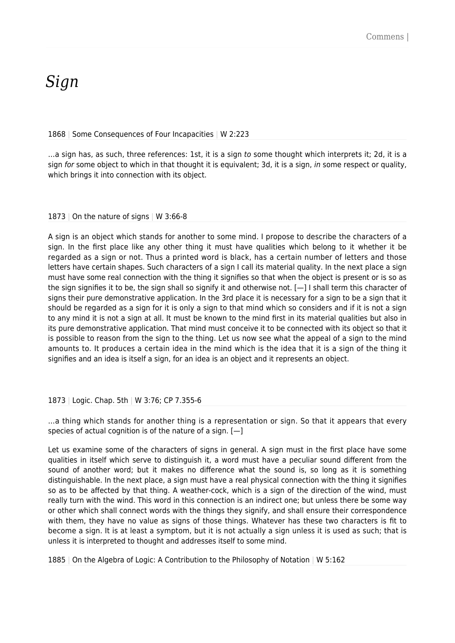# *Sign*

1868 | Some Consequences of Four Incapacities | W 2:223

…a sign has, as such, three references: 1st, it is a sign to some thought which interprets it; 2d, it is a sign for some object to which in that thought it is equivalent; 3d, it is a sign, in some respect or quality, which brings it into connection with its object.

#### 1873 | On the nature of signs  $|W|$  3:66-8

A sign is an object which stands for another to some mind. I propose to describe the characters of a sign. In the first place like any other thing it must have qualities which belong to it whether it be regarded as a sign or not. Thus a printed word is black, has a certain number of letters and those letters have certain shapes. Such characters of a sign I call its material quality. In the next place a sign must have some real connection with the thing it signifies so that when the object is present or is so as the sign signifies it to be, the sign shall so signify it and otherwise not. [—] I shall term this character of signs their pure demonstrative application. In the 3rd place it is necessary for a sign to be a sign that it should be regarded as a sign for it is only a sign to that mind which so considers and if it is not a sign to any mind it is not a sign at all. It must be known to the mind first in its material qualities but also in its pure demonstrative application. That mind must conceive it to be connected with its object so that it is possible to reason from the sign to the thing. Let us now see what the appeal of a sign to the mind amounts to. It produces a certain idea in the mind which is the idea that it is a sign of the thing it signifies and an idea is itself a sign, for an idea is an object and it represents an object.

#### 1873 | Logic. Chap. 5th | W 3:76; CP 7.355-6

…a thing which stands for another thing is a representation or sign. So that it appears that every species of actual cognition is of the nature of a sign.  $[-]$ 

Let us examine some of the characters of signs in general. A sign must in the first place have some qualities in itself which serve to distinguish it, a word must have a peculiar sound different from the sound of another word; but it makes no difference what the sound is, so long as it is something distinguishable. In the next place, a sign must have a real physical connection with the thing it signifies so as to be affected by that thing. A weather-cock, which is a sign of the direction of the wind, must really turn with the wind. This word in this connection is an indirect one; but unless there be some way or other which shall connect words with the things they signify, and shall ensure their correspondence with them, they have no value as signs of those things. Whatever has these two characters is fit to become a sign. It is at least a symptom, but it is not actually a sign unless it is used as such; that is unless it is interpreted to thought and addresses itself to some mind.

1885 | On the Algebra of Logic: A Contribution to the Philosophy of Notation | W 5:162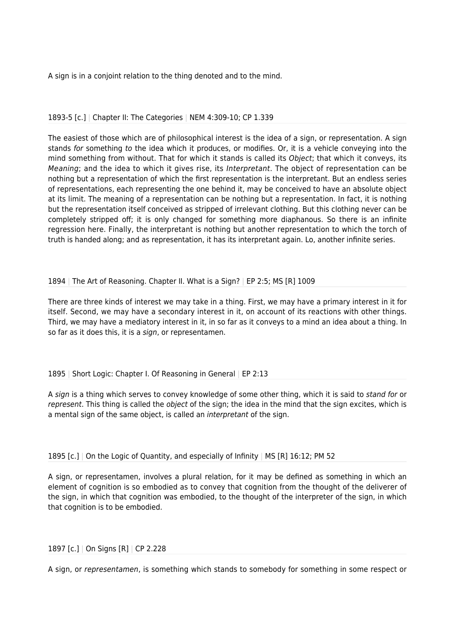A sign is in a conjoint relation to the thing denoted and to the mind.

## 1893-5 [c.] | Chapter II: The Categories | NEM 4:309-10; CP 1.339

The easiest of those which are of philosophical interest is the idea of a sign, or representation. A sign stands for something to the idea which it produces, or modifies. Or, it is a vehicle conveying into the mind something from without. That for which it stands is called its Object; that which it conveys, its Meaning; and the idea to which it gives rise, its Interpretant. The object of representation can be nothing but a representation of which the first representation is the interpretant. But an endless series of representations, each representing the one behind it, may be conceived to have an absolute object at its limit. The meaning of a representation can be nothing but a representation. In fact, it is nothing but the representation itself conceived as stripped of irrelevant clothing. But this clothing never can be completely stripped off; it is only changed for something more diaphanous. So there is an infinite regression here. Finally, the interpretant is nothing but another representation to which the torch of truth is handed along; and as representation, it has its interpretant again. Lo, another infinite series.

## 1894 | The Art of Reasoning. Chapter II. What is a Sign? | EP 2:5; MS [R] 1009

There are three kinds of interest we may take in a thing. First, we may have a primary interest in it for itself. Second, we may have a secondary interest in it, on account of its reactions with other things. Third, we may have a mediatory interest in it, in so far as it conveys to a mind an idea about a thing. In so far as it does this, it is a sign, or representamen.

#### 1895 | Short Logic: Chapter I. Of Reasoning in General | EP 2:13

A sign is a thing which serves to convey knowledge of some other thing, which it is said to stand for or represent. This thing is called the object of the sign; the idea in the mind that the sign excites, which is a mental sign of the same object, is called an interpretant of the sign.

1895 [c.] | On the Logic of Quantity, and especially of Infinity | MS [R] 16:12; PM 52

A sign, or representamen, involves a plural relation, for it may be defined as something in which an element of cognition is so embodied as to convey that cognition from the thought of the deliverer of the sign, in which that cognition was embodied, to the thought of the interpreter of the sign, in which that cognition is to be embodied.

#### 1897 [c.] | On Signs [R] | CP 2.228

A sign, or representamen, is something which stands to somebody for something in some respect or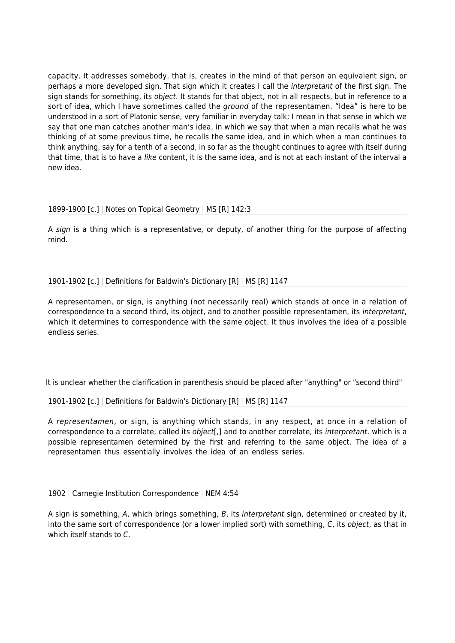capacity. It addresses somebody, that is, creates in the mind of that person an equivalent sign, or perhaps a more developed sign. That sign which it creates I call the *interpretant* of the first sign. The sign stands for something, its object. It stands for that object, not in all respects, but in reference to a sort of idea, which I have sometimes called the *ground* of the representamen. "Idea" is here to be understood in a sort of Platonic sense, very familiar in everyday talk; I mean in that sense in which we say that one man catches another man's idea, in which we say that when a man recalls what he was thinking of at some previous time, he recalls the same idea, and in which when a man continues to think anything, say for a tenth of a second, in so far as the thought continues to agree with itself during that time, that is to have a like content, it is the same idea, and is not at each instant of the interval a new idea.

#### 1899-1900 [c.] | Notes on Topical Geometry | MS [R] 142:3

A sign is a thing which is a representative, or deputy, of another thing for the purpose of affecting mind.

## 1901-1902 [c.] | Definitions for Baldwin's Dictionary [R] | MS [R] 1147

A representamen, or sign, is anything (not necessarily real) which stands at once in a relation of correspondence to a second third, its object, and to another possible representamen, its interpretant, which it determines to correspondence with the same object. It thus involves the idea of a possible endless series.

It is unclear whether the clarification in parenthesis should be placed after "anything" or "second third"

1901-1902 [c.] | Definitions for Baldwin's Dictionary [R] | MS [R] 1147

A representamen, or sign, is anything which stands, in any respect, at once in a relation of correspondence to a correlate, called its object[,] and to another correlate, its interpretant. which is a possible representamen determined by the first and referring to the same object. The idea of a representamen thus essentially involves the idea of an endless series.

1902 | Carnegie Institution Correspondence | NEM 4:54

A sign is something, A, which brings something, B, its interpretant sign, determined or created by it, into the same sort of correspondence (or a lower implied sort) with something, C, its object, as that in which itself stands to C.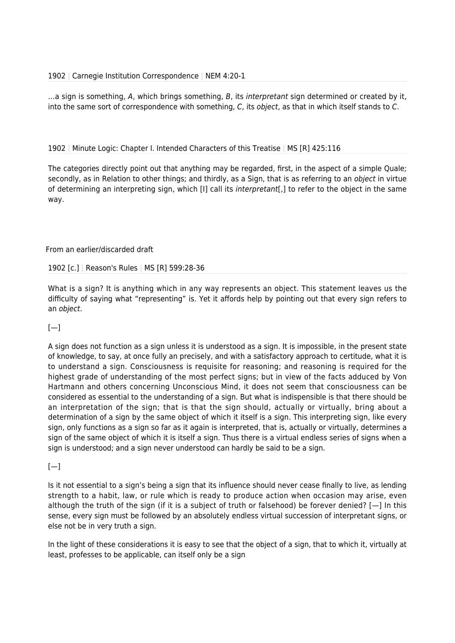## 1902 | Carnegie Institution Correspondence | NEM 4:20-1

...a sign is something, A, which brings something, B, its interpretant sign determined or created by it, into the same sort of correspondence with something, C, its object, as that in which itself stands to C.

1902 | Minute Logic: Chapter I. Intended Characters of this Treatise | MS [R] 425:116

The categories directly point out that anything may be regarded, first, in the aspect of a simple Quale; secondly, as in Relation to other things; and thirdly, as a Sign, that is as referring to an object in virtue of determining an interpreting sign, which [I] call its interpretant[,] to refer to the object in the same way.

From an earlier/discarded draft

```
1902 [c.] | Reason's Rules | MS [R] 599:28-36
```
What is a sign? It is anything which in any way represents an object. This statement leaves us the difficulty of saying what "representing" is. Yet it affords help by pointing out that every sign refers to an object.

# $[-]$

A sign does not function as a sign unless it is understood as a sign. It is impossible, in the present state of knowledge, to say, at once fully an precisely, and with a satisfactory approach to certitude, what it is to understand a sign. Consciousness is requisite for reasoning; and reasoning is required for the highest grade of understanding of the most perfect signs; but in view of the facts adduced by Von Hartmann and others concerning Unconscious Mind, it does not seem that consciousness can be considered as essential to the understanding of a sign. But what is indispensible is that there should be an interpretation of the sign; that is that the sign should, actually or virtually, bring about a determination of a sign by the same object of which it itself is a sign. This interpreting sign, like every sign, only functions as a sign so far as it again is interpreted, that is, actually or virtually, determines a sign of the same object of which it is itself a sign. Thus there is a virtual endless series of signs when a sign is understood; and a sign never understood can hardly be said to be a sign.

# $[-]$

Is it not essential to a sign's being a sign that its influence should never cease finally to live, as lending strength to a habit, law, or rule which is ready to produce action when occasion may arise, even although the truth of the sign (if it is a subject of truth or falsehood) be forever denied? [—] In this sense, every sign must be followed by an absolutely endless virtual succession of interpretant signs, or else not be in very truth a sign.

In the light of these considerations it is easy to see that the object of a sign, that to which it, virtually at least, professes to be applicable, can itself only be a sign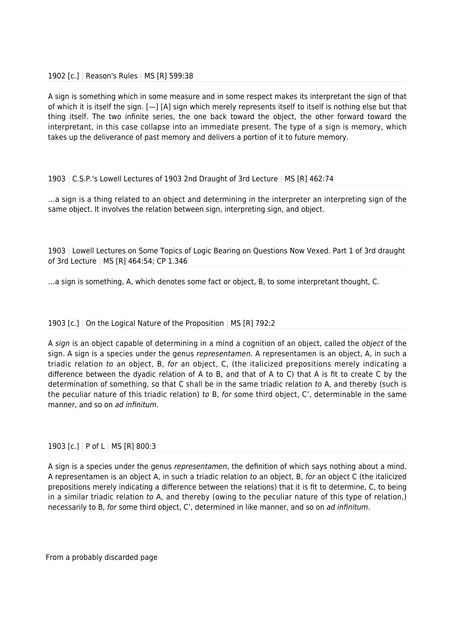## 1902 [c.] | Reason's Rules | MS [R] 599:38

A sign is something which in some measure and in some respect makes its interpretant the sign of that of which it is itself the sign. [—] [A] sign which merely represents itself to itself is nothing else but that thing itself. The two infinite series, the one back toward the object, the other forward toward the interpretant, in this case collapse into an immediate present. The type of a sign is memory, which takes up the deliverance of past memory and delivers a portion of it to future memory.

# 1903 | C.S.P.'s Lowell Lectures of 1903 2nd Draught of 3rd Lecture | MS [R] 462:74

…a sign is a thing related to an object and determining in the interpreter an interpreting sign of the same object. It involves the relation between sign, interpreting sign, and object.

1903 | Lowell Lectures on Some Topics of Logic Bearing on Questions Now Vexed. Part 1 of 3rd draught of 3rd Lecture | MS [R] 464:54; CP 1.346

…a sign is something, A, which denotes some fact or object, B, to some interpretant thought, C.

#### 1903 [c.] | On the Logical Nature of the Proposition | MS [R] 792:2

A sign is an object capable of determining in a mind a cognition of an object, called the object of the sign. A sign is a species under the genus representamen. A representamen is an object, A, in such a triadic relation to an object, B, for an object, C, (the italicized prepositions merely indicating a difference between the dyadic relation of A to B, and that of A to C) that A is fit to create C by the determination of something, so that C shall be in the same triadic relation to A, and thereby (such is the peculiar nature of this triadic relation) to B, for some third object, C', determinable in the same manner, and so on ad infinitum.

## 1903 [c.] | P of L | MS [R] 800:3

A sign is a species under the genus representamen, the definition of which says nothing about a mind. A representamen is an object A, in such a triadic relation to an object, B, for an object C (the italicized prepositions merely indicating a difference between the relations) that it is fit to determine, C, to being in a similar triadic relation to A, and thereby (owing to the peculiar nature of this type of relation,) necessarily to B, for some third object, C', determined in like manner, and so on ad infinitum.

From a probably discarded page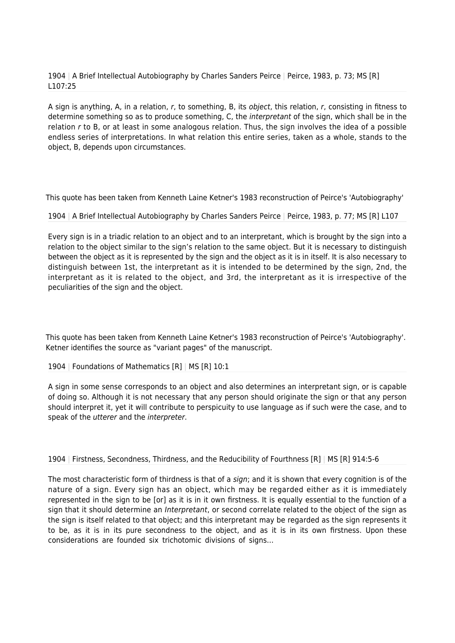1904 | A Brief Intellectual Autobiography by Charles Sanders Peirce | Peirce, 1983, p. 73; MS [R] L107:25

A sign is anything, A, in a relation, r, to something, B, its object, this relation, r, consisting in fitness to determine something so as to produce something, C, the interpretant of the sign, which shall be in the relation r to B, or at least in some analogous relation. Thus, the sign involves the idea of a possible endless series of interpretations. In what relation this entire series, taken as a whole, stands to the object, B, depends upon circumstances.

This quote has been taken from Kenneth Laine Ketner's 1983 reconstruction of Peirce's 'Autobiography'

1904 | A Brief Intellectual Autobiography by Charles Sanders Peirce | Peirce, 1983, p. 77; MS [R] L107

Every sign is in a triadic relation to an object and to an interpretant, which is brought by the sign into a relation to the object similar to the sign's relation to the same object. But it is necessary to distinguish between the object as it is represented by the sign and the object as it is in itself. It is also necessary to distinguish between 1st, the interpretant as it is intended to be determined by the sign, 2nd, the interpretant as it is related to the object, and 3rd, the interpretant as it is irrespective of the peculiarities of the sign and the object.

This quote has been taken from Kenneth Laine Ketner's 1983 reconstruction of Peirce's 'Autobiography'. Ketner identifies the source as "variant pages" of the manuscript.

1904 | Foundations of Mathematics [R] | MS [R] 10:1

A sign in some sense corresponds to an object and also determines an interpretant sign, or is capable of doing so. Although it is not necessary that any person should originate the sign or that any person should interpret it, yet it will contribute to perspicuity to use language as if such were the case, and to speak of the utterer and the interpreter.

1904 | Firstness, Secondness, Thirdness, and the Reducibility of Fourthness [R] | MS [R] 914:5-6

The most characteristic form of thirdness is that of a sign; and it is shown that every cognition is of the nature of a sign. Every sign has an object, which may be regarded either as it is immediately represented in the sign to be [or] as it is in it own firstness. It is equally essential to the function of a sign that it should determine an *Interpretant*, or second correlate related to the object of the sign as the sign is itself related to that object; and this interpretant may be regarded as the sign represents it to be, as it is in its pure secondness to the object, and as it is in its own firstness. Upon these considerations are founded six trichotomic divisions of signs…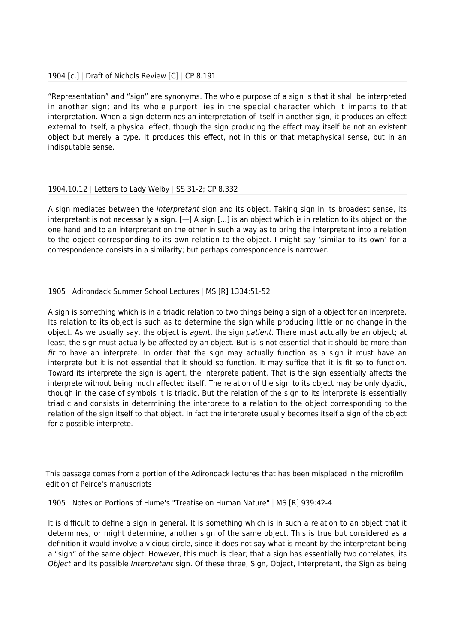## 1904 [c.] | Draft of Nichols Review [C] | CP 8.191

"Representation" and "sign" are synonyms. The whole purpose of a sign is that it shall be interpreted in another sign; and its whole purport lies in the special character which it imparts to that interpretation. When a sign determines an interpretation of itself in another sign, it produces an effect external to itself, a physical effect, though the sign producing the effect may itself be not an existent object but merely a type. It produces this effect, not in this or that metaphysical sense, but in an indisputable sense.

## 1904.10.12 | Letters to Lady Welby | SS 31-2; CP 8.332

A sign mediates between the *interpretant* sign and its object. Taking sign in its broadest sense, its interpretant is not necessarily a sign. [—] A sign […] is an object which is in relation to its object on the one hand and to an interpretant on the other in such a way as to bring the interpretant into a relation to the object corresponding to its own relation to the object. I might say 'similar to its own' for a correspondence consists in a similarity; but perhaps correspondence is narrower.

# 1905 | Adirondack Summer School Lectures | MS [R] 1334:51-52

A sign is something which is in a triadic relation to two things being a sign of a object for an interprete. Its relation to its object is such as to determine the sign while producing little or no change in the object. As we usually say, the object is *agent*, the sign *patient*. There must actually be an object; at least, the sign must actually be affected by an object. But is is not essential that it should be more than fit to have an interprete. In order that the sign may actually function as a sign it must have an interprete but it is not essential that it should so function. It may suffice that it is fit so to function. Toward its interprete the sign is agent, the interprete patient. That is the sign essentially affects the interprete without being much affected itself. The relation of the sign to its object may be only dyadic, though in the case of symbols it is triadic. But the relation of the sign to its interprete is essentially triadic and consists in determining the interprete to a relation to the object corresponding to the relation of the sign itself to that object. In fact the interprete usually becomes itself a sign of the object for a possible interprete.

This passage comes from a portion of the Adirondack lectures that has been misplaced in the microfilm edition of Peirce's manuscripts

1905 | Notes on Portions of Hume's "Treatise on Human Nature" | MS [R] 939:42-4

It is difficult to define a sign in general. It is something which is in such a relation to an object that it determines, or might determine, another sign of the same object. This is true but considered as a definition it would involve a vicious circle, since it does not say what is meant by the interpretant being a "sign" of the same object. However, this much is clear; that a sign has essentially two correlates, its Object and its possible Interpretant sign. Of these three, Sign, Object, Interpretant, the Sign as being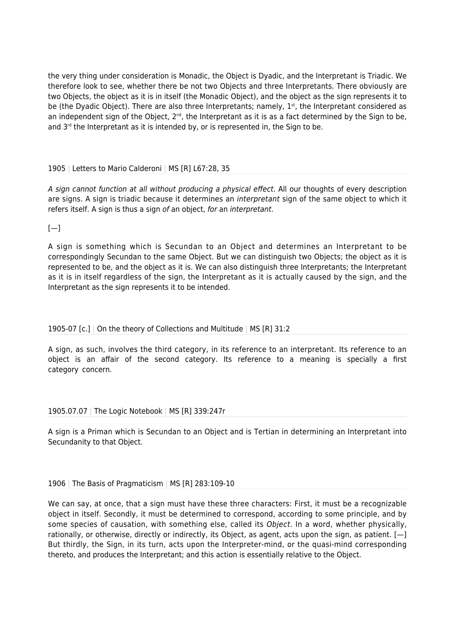the very thing under consideration is Monadic, the Object is Dyadic, and the Interpretant is Triadic. We therefore look to see, whether there be not two Objects and three Interpretants. There obviously are two Objects, the object as it is in itself (the Monadic Object), and the object as the sign represents it to be (the Dyadic Object). There are also three Interpretants; namely,  $1<sup>st</sup>$ , the Interpretant considered as an independent sign of the Object, 2<sup>nd</sup>, the Interpretant as it is as a fact determined by the Sign to be, and  $3<sup>rd</sup>$  the Interpretant as it is intended by, or is represented in, the Sign to be.

1905 | Letters to Mario Calderoni | MS [R] L67:28, 35

A sign cannot function at all without producing a physical effect. All our thoughts of every description are signs. A sign is triadic because it determines an *interpretant* sign of the same object to which it refers itself. A sign is thus a sign of an object, for an interpretant.

 $[-]$ 

A sign is something which is Secundan to an Object and determines an Interpretant to be correspondingly Secundan to the same Object. But we can distinguish two Objects; the object as it is represented to be, and the object as it is. We can also distinguish three Interpretants; the Interpretant as it is in itself regardless of the sign, the Interpretant as it is actually caused by the sign, and the Interpretant as the sign represents it to be intended.

1905-07 [c.] | On the theory of Collections and Multitude | MS [R] 31:2

A sign, as such, involves the third category, in its reference to an interpretant. Its reference to an object is an affair of the second category. Its reference to a meaning is specially a first category concern.

# 1905.07.07 | The Logic Notebook | MS [R] 339:247r

A sign is a Priman which is Secundan to an Object and is Tertian in determining an Interpretant into Secundanity to that Object.

#### 1906 | The Basis of Pragmaticism | MS [R] 283:109-10

We can say, at once, that a sign must have these three characters: First, it must be a recognizable object in itself. Secondly, it must be determined to correspond, according to some principle, and by some species of causation, with something else, called its Object. In a word, whether physically, rationally, or otherwise, directly or indirectly, its Object, as agent, acts upon the sign, as patient. [—] But thirdly, the Sign, in its turn, acts upon the Interpreter-mind, or the quasi-mind corresponding thereto, and produces the Interpretant; and this action is essentially relative to the Object.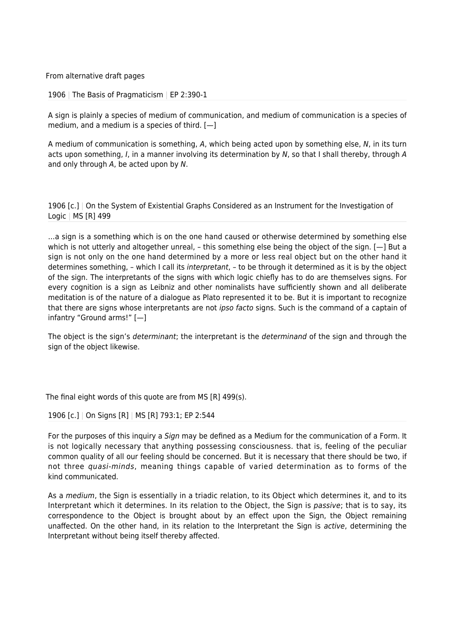From alternative draft pages

1906 | The Basis of Pragmaticism | EP 2:390-1

A sign is plainly a species of medium of communication, and medium of communication is a species of medium, and a medium is a species of third.  $[-]$ 

A medium of communication is something, A, which being acted upon by something else, N, in its turn acts upon something, I, in a manner involving its determination by N, so that I shall thereby, through A and only through A, be acted upon by N.

1906 [c.] | On the System of Existential Graphs Considered as an Instrument for the Investigation of Logic | MS [R] 499

…a sign is a something which is on the one hand caused or otherwise determined by something else which is not utterly and altogether unreal, – this something else being the object of the sign. [—] But a sign is not only on the one hand determined by a more or less real object but on the other hand it determines something, - which I call its *interpretant*, - to be through it determined as it is by the object of the sign. The interpretants of the signs with which logic chiefly has to do are themselves signs. For every cognition is a sign as Leibniz and other nominalists have sufficiently shown and all deliberate meditation is of the nature of a dialogue as Plato represented it to be. But it is important to recognize that there are signs whose interpretants are not ipso facto signs. Such is the command of a captain of infantry "Ground arms!" [—]

The object is the sign's determinant; the interpretant is the determinand of the sign and through the sign of the object likewise.

The final eight words of this quote are from MS [R] 499(s).

1906 [c.] | On Signs [R] | MS [R] 793:1; EP 2:544

For the purposes of this inquiry a Sign may be defined as a Medium for the communication of a Form. It is not logically necessary that anything possessing consciousness. that is, feeling of the peculiar common quality of all our feeling should be concerned. But it is necessary that there should be two, if not three quasi-minds, meaning things capable of varied determination as to forms of the kind communicated.

As a medium, the Sign is essentially in a triadic relation, to its Object which determines it, and to its Interpretant which it determines. In its relation to the Object, the Sign is passive; that is to say, its correspondence to the Object is brought about by an effect upon the Sign, the Object remaining unaffected. On the other hand, in its relation to the Interpretant the Sign is active, determining the Interpretant without being itself thereby affected.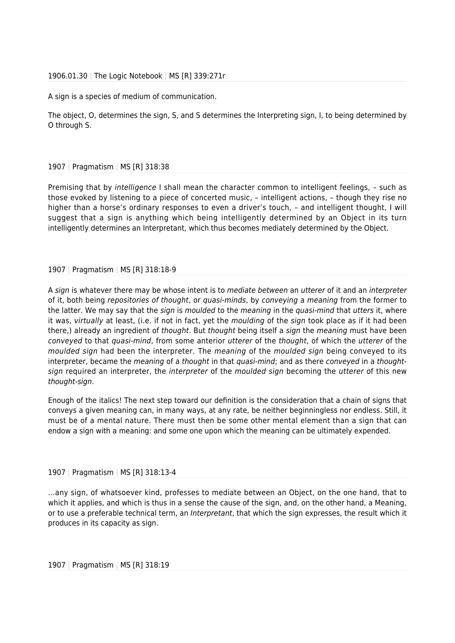#### 1906.01.30 | The Logic Notebook | MS [R] 339:271r

A sign is a species of medium of communication.

The object, O, determines the sign, S, and S determines the Interpreting sign, I, to being determined by O through S.

## 1907 | Pragmatism | MS [R] 318:38

Premising that by intelligence I shall mean the character common to intelligent feelings, - such as those evoked by listening to a piece of concerted music, – intelligent actions, – though they rise no higher than a horse's ordinary responses to even a driver's touch, – and intelligent thought, I will suggest that a sign is anything which being intelligently determined by an Object in its turn intelligently determines an Interpretant, which thus becomes mediately determined by the Object.

# 1907 | Pragmatism | MS [R] 318:18-9

A sign is whatever there may be whose intent is to mediate between an utterer of it and an interpreter of it, both being repositories of thought, or quasi-minds, by conveying a meaning from the former to the latter. We may say that the *sign* is moulded to the meaning in the quasi-mind that utters it, where it was, virtually at least, (i.e. if not in fact, yet the moulding of the sign took place as if it had been there,) already an ingredient of thought. But thought being itself a sign the meaning must have been conveyed to that quasi-mind, from some anterior utterer of the thought, of which the utterer of the moulded sign had been the interpreter. The meaning of the moulded sign being conveyed to its interpreter, became the *meaning* of a thought in that quasi-mind; and as there *conveyed* in a thoughtsign required an interpreter, the interpreter of the moulded sign becoming the utterer of this new thought-sign.

Enough of the italics! The next step toward our definition is the consideration that a chain of signs that conveys a given meaning can, in many ways, at any rate, be neither beginningless nor endless. Still, it must be of a mental nature. There must then be some other mental element than a sign that can endow a sign with a meaning: and some one upon which the meaning can be ultimately expended.

#### 1907 | Pragmatism | MS [R] 318:13-4

…any sign, of whatsoever kind, professes to mediate between an Object, on the one hand, that to which it applies, and which is thus in a sense the cause of the sign, and, on the other hand, a Meaning, or to use a preferable technical term, an Interpretant, that which the sign expresses, the result which it produces in its capacity as sign.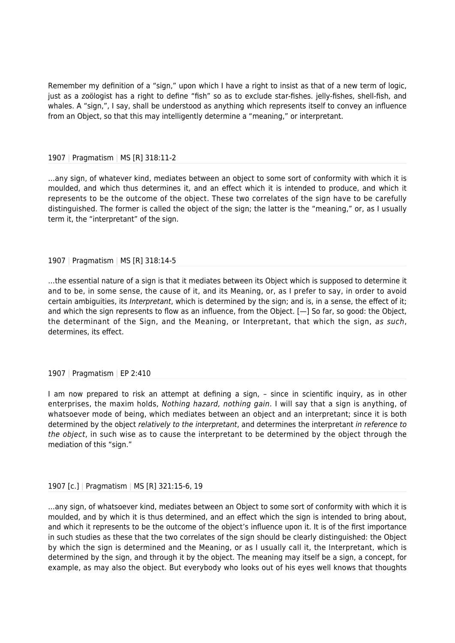Remember my definition of a "sign," upon which I have a right to insist as that of a new term of logic, just as a zoölogist has a right to define "fish" so as to exclude star-fishes. jelly-fishes, shell-fish, and whales. A "sign,", I say, shall be understood as anything which represents itself to convey an influence from an Object, so that this may intelligently determine a "meaning," or interpretant.

## 1907 | Pragmatism | MS [R] 318:11-2

…any sign, of whatever kind, mediates between an object to some sort of conformity with which it is moulded, and which thus determines it, and an effect which it is intended to produce, and which it represents to be the outcome of the object. These two correlates of the sign have to be carefully distinguished. The former is called the object of the sign; the latter is the "meaning," or, as I usually term it, the "interpretant" of the sign.

#### 1907 | Pragmatism | MS [R] 318:14-5

…the essential nature of a sign is that it mediates between its Object which is supposed to determine it and to be, in some sense, the cause of it, and its Meaning, or, as I prefer to say, in order to avoid certain ambiguities, its Interpretant, which is determined by the sign; and is, in a sense, the effect of it; and which the sign represents to flow as an influence, from the Object. [—] So far, so good: the Object, the determinant of the Sign, and the Meaning, or Interpretant, that which the sign, as such, determines, its effect.

#### 1907 | Pragmatism | EP 2:410

I am now prepared to risk an attempt at defining a sign, – since in scientific inquiry, as in other enterprises, the maxim holds, Nothing hazard, nothing gain. I will say that a sign is anything, of whatsoever mode of being, which mediates between an object and an interpretant; since it is both determined by the object relatively to the interpretant, and determines the interpretant in reference to the object, in such wise as to cause the interpretant to be determined by the object through the mediation of this "sign."

#### 1907 [c.] | Pragmatism | MS [R] 321:15-6, 19

…any sign, of whatsoever kind, mediates between an Object to some sort of conformity with which it is moulded, and by which it is thus determined, and an effect which the sign is intended to bring about, and which it represents to be the outcome of the object's influence upon it. It is of the first importance in such studies as these that the two correlates of the sign should be clearly distinguished: the Object by which the sign is determined and the Meaning, or as I usually call it, the Interpretant, which is determined by the sign, and through it by the object. The meaning may itself be a sign, a concept, for example, as may also the object. But everybody who looks out of his eyes well knows that thoughts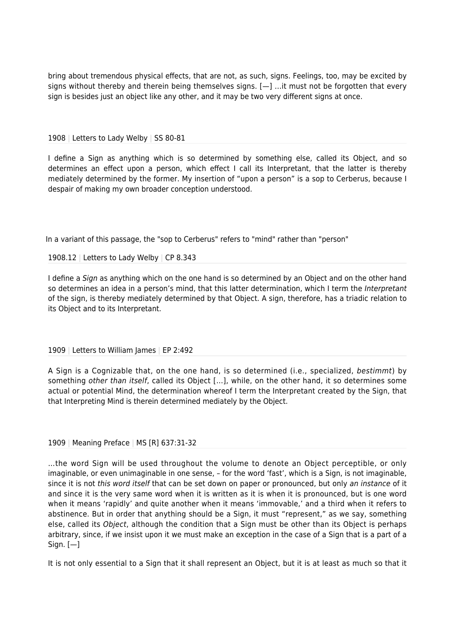bring about tremendous physical effects, that are not, as such, signs. Feelings, too, may be excited by signs without thereby and therein being themselves signs. [—] …it must not be forgotten that every sign is besides just an object like any other, and it may be two very different signs at once.

#### 1908 | Letters to Lady Welby | SS 80-81

I define a Sign as anything which is so determined by something else, called its Object, and so determines an effect upon a person, which effect I call its Interpretant, that the latter is thereby mediately determined by the former. My insertion of "upon a person" is a sop to Cerberus, because I despair of making my own broader conception understood.

In a variant of this passage, the "sop to Cerberus" refers to "mind" rather than "person"

## 1908.12 | Letters to Lady Welby | CP 8.343

I define a *Sign* as anything which on the one hand is so determined by an Object and on the other hand so determines an idea in a person's mind, that this latter determination, which I term the Interpretant of the sign, is thereby mediately determined by that Object. A sign, therefore, has a triadic relation to its Object and to its Interpretant.

1909 | Letters to William James | EP 2:492

A Sign is a Cognizable that, on the one hand, is so determined (i.e., specialized, bestimmt) by something other than itself, called its Object […], while, on the other hand, it so determines some actual or potential Mind, the determination whereof I term the Interpretant created by the Sign, that that Interpreting Mind is therein determined mediately by the Object.

#### 1909 | Meaning Preface | MS [R] 637:31-32

…the word Sign will be used throughout the volume to denote an Object perceptible, or only imaginable, or even unimaginable in one sense, – for the word 'fast', which is a Sign, is not imaginable, since it is not this word itself that can be set down on paper or pronounced, but only an instance of it and since it is the very same word when it is written as it is when it is pronounced, but is one word when it means 'rapidly' and quite another when it means 'immovable,' and a third when it refers to abstinence. But in order that anything should be a Sign, it must "represent," as we say, something else, called its Object, although the condition that a Sign must be other than its Object is perhaps arbitrary, since, if we insist upon it we must make an exception in the case of a Sign that is a part of a Sign. [—]

It is not only essential to a Sign that it shall represent an Object, but it is at least as much so that it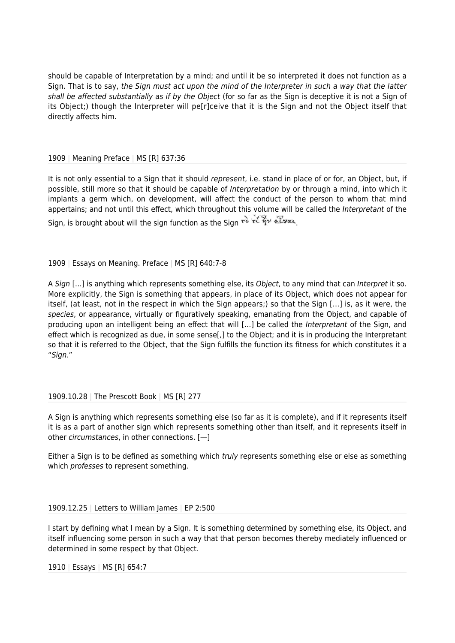should be capable of Interpretation by a mind; and until it be so interpreted it does not function as a Sign. That is to say, the Sign must act upon the mind of the Interpreter in such a way that the latter shall be affected substantially as if by the Object (for so far as the Sign is deceptive it is not a Sign of its Object;) though the Interpreter will pe[r]ceive that it is the Sign and not the Object itself that directly affects him.

#### 1909 | Meaning Preface | MS [R] 637:36

It is not only essential to a Sign that it should represent, i.e. stand in place of or for, an Object, but, if possible, still more so that it should be capable of *Interpretation* by or through a mind, into which it implants a germ which, on development, will affect the conduct of the person to whom that mind appertains; and not until this effect, which throughout this volume will be called the Interpretant of the Sign, is brought about will the sign function as the Sign to the size

## 1909 | Essays on Meaning. Preface | MS [R] 640:7-8

A Sign [...] is anything which represents something else, its Object, to any mind that can Interpret it so. More explicitly, the Sign is something that appears, in place of its Object, which does not appear for itself, (at least, not in the respect in which the Sign appears;) so that the Sign […] is, as it were, the species, or appearance, virtually or figuratively speaking, emanating from the Object, and capable of producing upon an intelligent being an effect that will [...] be called the Interpretant of the Sign, and effect which is recognized as due, in some sense[,] to the Object; and it is in producing the Interpretant so that it is referred to the Object, that the Sign fulfills the function its fitness for which constitutes it a "Sign."

# 1909.10.28 | The Prescott Book | MS [R] 277

A Sign is anything which represents something else (so far as it is complete), and if it represents itself it is as a part of another sign which represents something other than itself, and it represents itself in other circumstances, in other connections. [—]

Either a Sign is to be defined as something which *truly* represents something else or else as something which professes to represent something.

#### 1909.12.25 | Letters to William James | EP 2:500

I start by defining what I mean by a Sign. It is something determined by something else, its Object, and itself influencing some person in such a way that that person becomes thereby mediately influenced or determined in some respect by that Object.

1910 | Essays | MS [R] 654:7